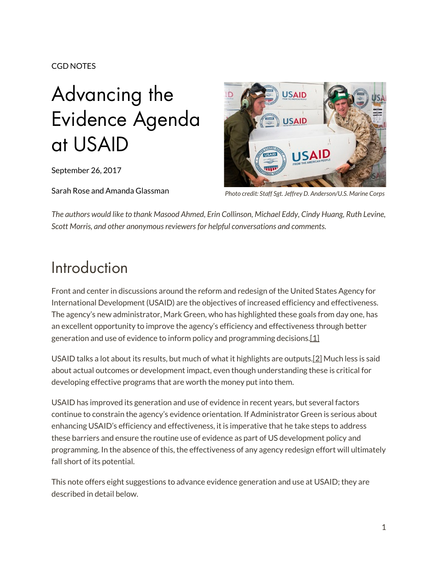#### CGD NOTES

# Advancing the Evidence Agenda at USAID

September 26, 2017

Sarah Rose and Amanda Glassman



*Photo credit: Staff Sgt. Jeffrey D. Anderson/U.S. Marine Corps*

*The authors would like to thank Masood Ahmed, Erin Collinson, Michael Eddy, Cindy Huang, Ruth Levine, Scott Morris, and other anonymous reviewers for helpful conversations and comments.*

### Introduction

Front and center in discussions around the reform and redesign of the United States Agency for International Development (USAID) are the objectives of increased efficiency and effectiveness. The agency's new administrator, Mark Green, who has highlighted these goals from day one, has an excellent opportunity to improve the agency's efficiency and effectiveness through better generation and use of evidence to inform policy and programming decision[s.\[1\]](javascript:void(0);)

USAID talks a lot about its results, but much of what it highlights are outputs[.\[2\]](javascript:void(0);) Much less is said about actual outcomes or development impact, even though understanding these is critical for developing effective programs that are worth the money put into them.

USAID has improved its generation and use of evidence in recent years, but several factors continue to constrain the agency's evidence orientation. If Administrator Green is serious about enhancing USAID's efficiency and effectiveness, it is imperative that he take steps to address these barriers and ensure the routine use of evidence as part of US development policy and programming. In the absence of this, the effectiveness of any agency redesign effort will ultimately fall short of its potential.

This note offers eight suggestions to advance evidence generation and use at USAID; they are described in detail below.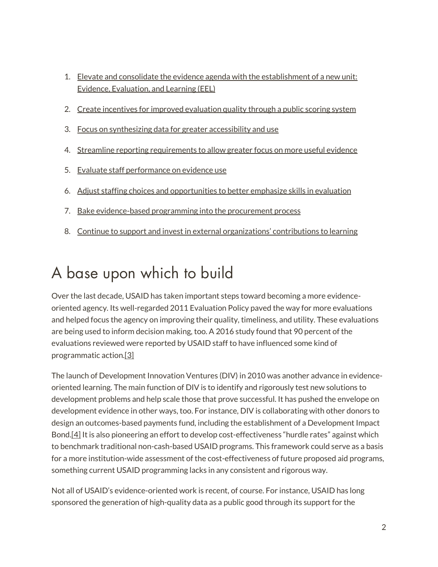- 1. [Elevate and consolidate the evidence agenda with the establishment of a new unit:](javascript:void(0);)  [Evidence, Evaluation, and Learning \(EEL\)](javascript:void(0);)
- 2. [Create incentives for improved evaluation quality through a public scoring system](javascript:void(0);)
- 3. [Focus on synthesizing data for greater accessibility and use](javascript:void(0);)
- 4. [Streamline reporting requirements to allow greater focus on more useful evidence](javascript:void(0);)
- 5. [Evaluate staff performance on evidence use](javascript:void(0);)
- 6. [Adjust staffing choices and opportunities to better emphasize skills in evaluation](javascript:void(0);)
- 7. [Bake evidence-based programming into the procurement process](javascript:void(0);)
- 8. [Continue to support and invest in external organizations' contributions to learning](javascript:void(0);)

### A base upon which to build

Over the last decade, USAID has taken important steps toward becoming a more evidenceoriented agency. Its well-regarded 2011 Evaluation Policy paved the way for more evaluations and helped focus the agency on improving their quality, timeliness, and utility. These evaluations are being used to inform decision making, too. A 2016 study found that 90 percent of the evaluations reviewed were reported by USAID staff to have influenced some kind of programmatic actio[n.\[3\]](javascript:void(0);)

The launch of Development Innovation Ventures (DIV) in 2010 was another advance in evidenceoriented learning. The main function of DIV is to identify and rigorously test new solutions to development problems and help scale those that prove successful. It has pushed the envelope on development evidence in other ways, too. For instance, DIV is collaborating with other donors to design an outcomes-based payments fund, including the establishment of a Development Impact Bond[.\[4\]](javascript:void(0);) It is also pioneering an effort to develop cost-effectiveness "hurdle rates" against which to benchmark traditional non-cash-based USAID programs. This framework could serve as a basis for a more institution-wide assessment of the cost-effectiveness of future proposed aid programs, something current USAID programming lacks in any consistent and rigorous way.

Not all of USAID's evidence-oriented work is recent, of course. For instance, USAID has long sponsored the generation of high-quality data as a public good through its support for the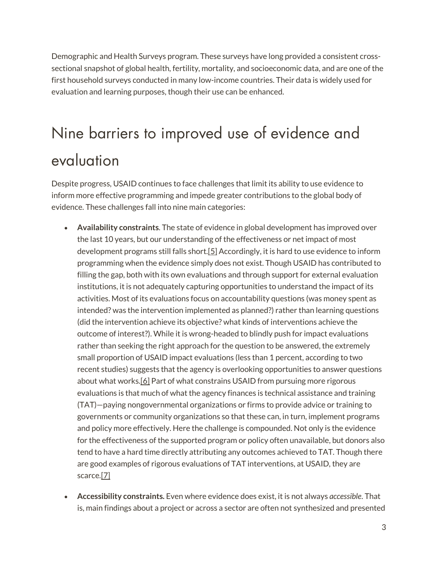Demographic and Health Surveys program. These surveys have long provided a consistent crosssectional snapshot of global health, fertility, mortality, and socioeconomic data, and are one of the first household surveys conducted in many low-income countries. Their data is widely used for evaluation and learning purposes, though their use can be enhanced.

## Nine barriers to improved use of evidence and evaluation

Despite progress, USAID continues to face challenges that limit its ability to use evidence to inform more effective programming and impede greater contributions to the global body of evidence. These challenges fall into nine main categories:

- **Availability constraints**. The state of evidence in global development has improved over the last 10 years, but our understanding of the effectiveness or net impact of most development programs still falls short.<sup>[5]</sup> Accordingly, it is hard to use evidence to inform programming when the evidence simply does not exist. Though USAID has contributed to filling the gap, both with its own evaluations and through support for external evaluation institutions, it is not adequately capturing opportunities to understand the impact of its activities. Most of its evaluations focus on accountability questions (was money spent as intended? was the intervention implemented as planned?) rather than learning questions (did the intervention achieve its objective? what kinds of interventions achieve the outcome of interest?). While it is wrong-headed to blindly push for impact evaluations rather than seeking the right approach for the question to be answered, the extremely small proportion of USAID impact evaluations (less than 1 percent, according to two recent studies) suggests that the agency is overlooking opportunities to answer questions about what work[s.\[6\]](javascript:void(0);) Part of what constrains USAID from pursuing more rigorous evaluations is that much of what the agency finances is technical assistance and training (TAT)—paying nongovernmental organizations or firms to provide advice or training to governments or community organizations so that these can, in turn, implement programs and policy more effectively. Here the challenge is compounded. Not only is the evidence for the effectiveness of the supported program or policy often unavailable, but donors also tend to have a hard time directly attributing any outcomes achieved to TAT. Though there are good examples of rigorous evaluations of TAT interventions, at USAID, they are scarce[.\[7\]](javascript:void(0);)
- **Accessibility constraints.** Even where evidence does exist, it is not always *accessible*. That is, main findings about a project or across a sector are often not synthesized and presented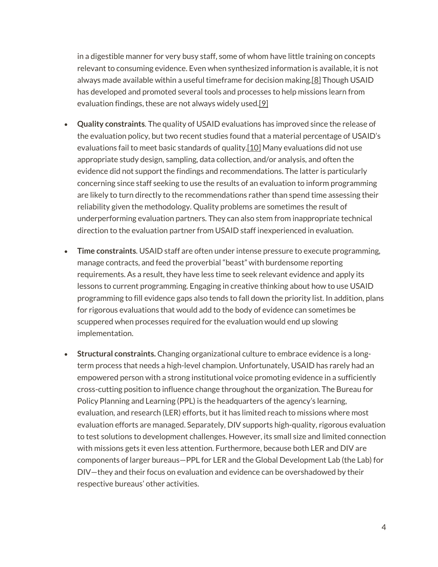in a digestible manner for very busy staff, some of whom have little training on concepts relevant to consuming evidence. Even when synthesized information is available, it is not always made available within a useful timeframe for decision making[.\[8\]](javascript:void(0);) Though USAID has developed and promoted several tools and processes to help missions learn from evaluation findings, these are not always widely used[.\[9\]](javascript:void(0);)

- **Quality constraints**. The quality of USAID evaluations has improved since the release of the evaluation policy, but two recent studies found that a material percentage of USAID's evaluations fail to meet basic standards of qualit[y.\[10\]](javascript:void(0);) Many evaluations did not use appropriate study design, sampling, data collection, and/or analysis, and often the evidence did not support the findings and recommendations. The latter is particularly concerning since staff seeking to use the results of an evaluation to inform programming are likely to turn directly to the recommendations rather than spend time assessing their reliability given the methodology. Quality problems are sometimes the result of underperforming evaluation partners. They can also stem from inappropriate technical direction to the evaluation partner from USAID staff inexperienced in evaluation.
- **Time constraints**. USAID staff are often under intense pressure to execute programming, manage contracts, and feed the proverbial "beast" with burdensome reporting requirements. As a result, they have less time to seek relevant evidence and apply its lessons to current programming. Engaging in creative thinking about how to use USAID programming to fill evidence gaps also tends to fall down the priority list. In addition, plans for rigorous evaluations that would add to the body of evidence can sometimes be scuppered when processes required for the evaluation would end up slowing implementation.
- **Structural constraints.** Changing organizational culture to embrace evidence is a longterm process that needs a high-level champion. Unfortunately, USAID has rarely had an empowered person with a strong institutional voice promoting evidence in a sufficiently cross-cutting position to influence change throughout the organization. The Bureau for Policy Planning and Learning (PPL) is the headquarters of the agency's learning, evaluation, and research (LER) efforts, but it has limited reach to missions where most evaluation efforts are managed. Separately, DIV supports high-quality, rigorous evaluation to test solutions to development challenges. However, its small size and limited connection with missions gets it even less attention. Furthermore, because both LER and DIV are components of larger bureaus—PPL for LER and the Global Development Lab (the Lab) for DIV—they and their focus on evaluation and evidence can be overshadowed by their respective bureaus' other activities.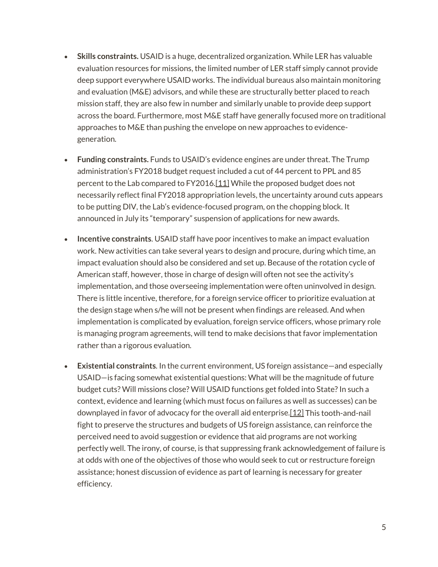- **Skills constraints.** USAID is a huge, decentralized organization. While LER has valuable evaluation resources for missions, the limited number of LER staff simply cannot provide deep support everywhere USAID works. The individual bureaus also maintain monitoring and evaluation (M&E) advisors, and while these are structurally better placed to reach mission staff, they are also few in number and similarly unable to provide deep support across the board. Furthermore, most M&E staff have generally focused more on traditional approaches to M&E than pushing the envelope on new approaches to evidencegeneration.
- **Funding constraints.** Funds to USAID's evidence engines are under threat. The Trump administration's FY2018 budget request included a cut of 44 percent to PPL and 85 percent to the Lab compared to FY2016[.\[11\]](javascript:void(0);) While the proposed budget does not necessarily reflect final FY2018 appropriation levels, the uncertainty around cuts appears to be putting DIV, the Lab's evidence-focused program, on the chopping block. It announced in July its "temporary" suspension of applications for new awards.
- **Incentive constraints**. USAID staff have poor incentives to make an impact evaluation work. New activities can take several years to design and procure, during which time, an impact evaluation should also be considered and set up. Because of the rotation cycle of American staff, however, those in charge of design will often not see the activity's implementation, and those overseeing implementation were often uninvolved in design. There is little incentive, therefore, for a foreign service officer to prioritize evaluation at the design stage when s/he will not be present when findings are released. And when implementation is complicated by evaluation, foreign service officers, whose primary role is managing program agreements, will tend to make decisions that favor implementation rather than a rigorous evaluation.
- **Existential constraints**. In the current environment, US foreign assistance—and especially USAID—is facing somewhat existential questions: What will be the magnitude of future budget cuts? Will missions close? Will USAID functions get folded into State? In such a context, evidence and learning (which must focus on failures as well as successes) can be downplayed in favor of advocacy for the overall aid enterpris[e.\[12\]](javascript:void(0);) This tooth-and-nail fight to preserve the structures and budgets of US foreign assistance, can reinforce the perceived need to avoid suggestion or evidence that aid programs are not working perfectly well. The irony, of course, is that suppressing frank acknowledgement of failure is at odds with one of the objectives of those who would seek to cut or restructure foreign assistance; honest discussion of evidence as part of learning is necessary for greater efficiency.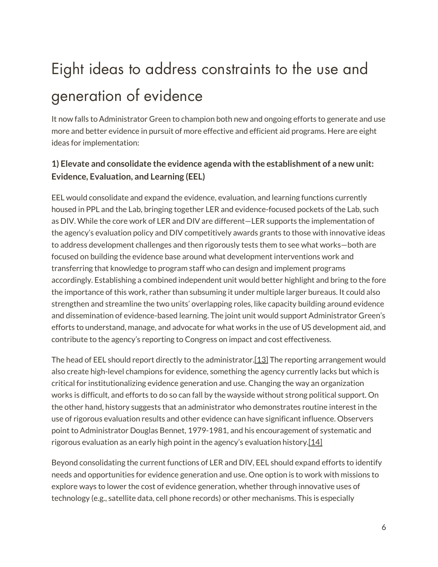## Eight ideas to address constraints to the use and generation of evidence

It now falls to Administrator Green to champion both new and ongoing efforts to generate and use more and better evidence in pursuit of more effective and efficient aid programs. Here are eight ideas for implementation:

#### **1) Elevate and consolidate the evidence agenda with the establishment of a new unit: Evidence, Evaluation, and Learning (EEL)**

EEL would consolidate and expand the evidence, evaluation, and learning functions currently housed in PPL and the Lab, bringing together LER and evidence-focused pockets of the Lab, such as DIV. While the core work of LER and DIV are different—LER supports the implementation of the agency's evaluation policy and DIV competitively awards grants to those with innovative ideas to address development challenges and then rigorously tests them to see what works—both are focused on building the evidence base around what development interventions work and transferring that knowledge to program staff who can design and implement programs accordingly. Establishing a combined independent unit would better highlight and bring to the fore the importance of this work, rather than subsuming it under multiple larger bureaus. It could also strengthen and streamline the two units' overlapping roles, like capacity building around evidence and dissemination of evidence-based learning. The joint unit would support Administrator Green's efforts to understand, manage, and advocate for what works in the use of US development aid, and contribute to the agency's reporting to Congress on impact and cost effectiveness.

The head of EEL should report directly to the administrator[.\[13\]](javascript:void(0);) The reporting arrangement would also create high-level champions for evidence, something the agency currently lacks but which is critical for institutionalizing evidence generation and use. Changing the way an organization works is difficult, and efforts to do so can fall by the wayside without strong political support. On the other hand, history suggests that an administrator who demonstrates routine interest in the use of rigorous evaluation results and other evidence can have significant influence. Observers point to Administrator Douglas Bennet, 1979-1981, and his encouragement of systematic and rigorous evaluation as an early high point in the agency's evaluation history. $[14]$ 

Beyond consolidating the current functions of LER and DIV, EEL should expand efforts to identify needs and opportunities for evidence generation and use. One option is to work with missions to explore ways to lower the cost of evidence generation, whether through innovative uses of technology (e.g., satellite data, cell phone records) or other mechanisms. This is especially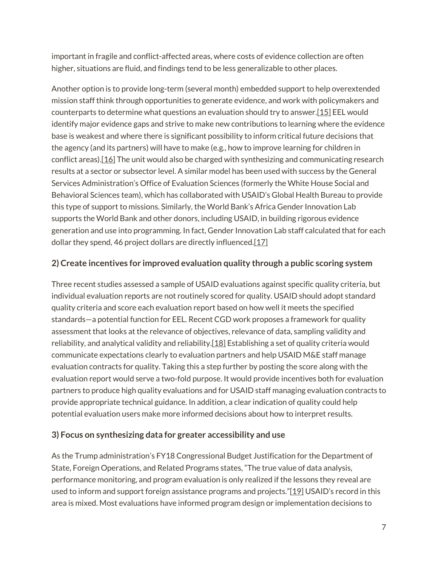important in fragile and conflict-affected areas, where costs of evidence collection are often higher, situations are fluid, and findings tend to be less generalizable to other places.

Another option is to provide long-term (several month) embedded support to help overextended mission staff think through opportunities to generate evidence, and work with policymakers and counterparts to determine what questions an evaluation should try to answe[r.\[15\]](javascript:void(0);) EEL would identify major evidence gaps and strive to make new contributions to learning where the evidence base is weakest and where there is significant possibility to inform critical future decisions that the agency (and its partners) will have to make (e.g., how to improve learning for children in conflict areas)[.\[16\]](javascript:void(0);) The unit would also be charged with synthesizing and communicating research results at a sector or subsector level. A similar model has been used with success by the General Services Administration's Office of Evaluation Sciences (formerly the White House Social and Behavioral Sciences team), which has collaborated with USAID's Global Health Bureau to provide this type of support to missions. Similarly, the World Bank's Africa Gender Innovation Lab supports the World Bank and other donors, including USAID, in building rigorous evidence generation and use into programming. In fact, Gender Innovation Lab staff calculated that for each dollar they spend, 46 project dollars are directly influenced[.\[17\]](javascript:void(0);)

#### **2) Create incentives for improved evaluation quality through a public scoring system**

Three recent studies assessed a sample of USAID evaluations against specific quality criteria, but individual evaluation reports are not routinely scored for quality. USAID should adopt standard quality criteria and score each evaluation report based on how well it meets the specified standards—a potential function for EEL. Recent CGD work proposes a framework for quality assessment that looks at the relevance of objectives, relevance of data, sampling validity and reliability, and analytical validity and reliability[.\[18\]](javascript:void(0);) Establishing a set of quality criteria would communicate expectations clearly to evaluation partners and help USAID M&E staff manage evaluation contracts for quality. Taking this a step further by posting the score along with the evaluation report would serve a two-fold purpose. It would provide incentives both for evaluation partners to produce high quality evaluations and for USAID staff managing evaluation contracts to provide appropriate technical guidance. In addition, a clear indication of quality could help potential evaluation users make more informed decisions about how to interpret results.

#### **3) Focus on synthesizing data for greater accessibility and use**

As the Trump administration's FY18 Congressional Budget Justification for the Department of State, Foreign Operations, and Related Programs states, "The true value of data analysis, performance monitoring, and program evaluation is only realized if the lessons they reveal are used to inform and support foreign assistance programs and projects.["\[19\]](javascript:void(0);) USAID's record in this area is mixed. Most evaluations have informed program design or implementation decisions to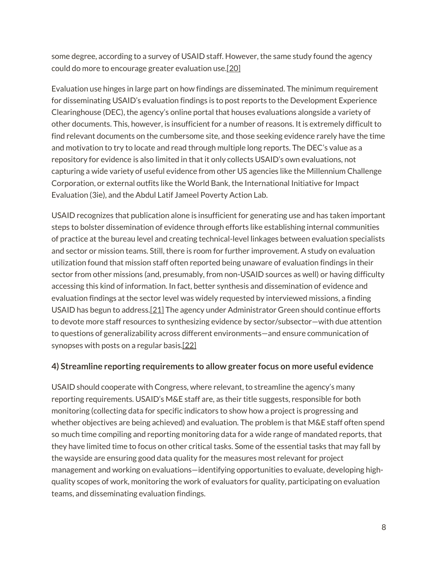some degree, according to a survey of USAID staff. However, the same study found the agency could do more to encourage greater evaluation use[.\[20\]](javascript:void(0);)

Evaluation use hinges in large part on how findings are disseminated. The minimum requirement for disseminating USAID's evaluation findings is to post reports to the Development Experience Clearinghouse (DEC), the agency's online portal that houses evaluations alongside a variety of other documents. This, however, is insufficient for a number of reasons. It is extremely difficult to find relevant documents on the cumbersome site, and those seeking evidence rarely have the time and motivation to try to locate and read through multiple long reports. The DEC's value as a repository for evidence is also limited in that it only collects USAID's own evaluations, not capturing a wide variety of useful evidence from other US agencies like the Millennium Challenge Corporation, or external outfits like the World Bank, the International Initiative for Impact Evaluation (3ie), and the Abdul Latif Jameel Poverty Action Lab.

USAID recognizes that publication alone is insufficient for generating use and has taken important steps to bolster dissemination of evidence through efforts like establishing internal communities of practice at the bureau level and creating technical-level linkages between evaluation specialists and sector or mission teams. Still, there is room for further improvement. A study on evaluation utilization found that mission staff often reported being unaware of evaluation findings in their sector from other missions (and, presumably, from non-USAID sources as well) or having difficulty accessing this kind of information. In fact, better synthesis and dissemination of evidence and evaluation findings at the sector level was widely requested by interviewed missions, a finding USAID has begun to address[.\[21\]](javascript:void(0);) The agency under Administrator Green should continue efforts to devote more staff resources to synthesizing evidence by sector/subsector—with due attention to questions of generalizability across different environments—and ensure communication of synopses with posts on a regular basis[.\[22\]](javascript:void(0);)

#### **4) Streamline reporting requirements to allow greater focus on more useful evidence**

USAID should cooperate with Congress, where relevant, to streamline the agency's many reporting requirements. USAID's M&E staff are, as their title suggests, responsible for both monitoring (collecting data for specific indicators to show how a project is progressing and whether objectives are being achieved) and evaluation. The problem is that M&E staff often spend so much time compiling and reporting monitoring data for a wide range of mandated reports, that they have limited time to focus on other critical tasks. Some of the essential tasks that may fall by the wayside are ensuring good data quality for the measures most relevant for project management and working on evaluations—identifying opportunities to evaluate, developing highquality scopes of work, monitoring the work of evaluators for quality, participating on evaluation teams, and disseminating evaluation findings.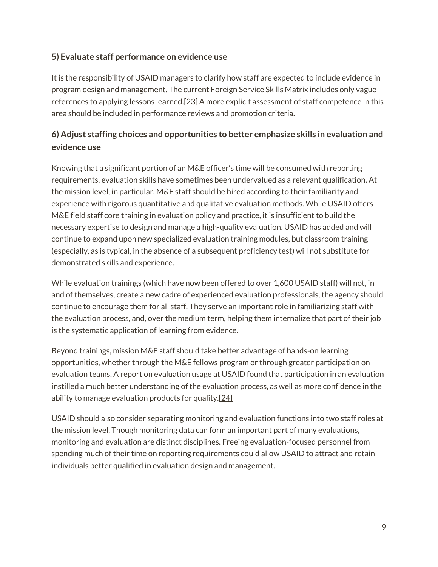#### **5) Evaluate staff performance on evidence use**

It is the responsibility of USAID managers to clarify how staff are expected to include evidence in program design and management. The current Foreign Service Skills Matrix includes only vague references to applying lessons learned[.\[23\]](javascript:void(0);) A more explicit assessment of staff competence in this area should be included in performance reviews and promotion criteria.

#### **6) Adjust staffing choices and opportunities to better emphasize skills in evaluation and evidence use**

Knowing that a significant portion of an M&E officer's time will be consumed with reporting requirements, evaluation skills have sometimes been undervalued as a relevant qualification. At the mission level, in particular, M&E staff should be hired according to their familiarity and experience with rigorous quantitative and qualitative evaluation methods. While USAID offers M&E field staff core training in evaluation policy and practice, it is insufficient to build the necessary expertise to design and manage a high-quality evaluation. USAID has added and will continue to expand upon new specialized evaluation training modules, but classroom training (especially, as is typical, in the absence of a subsequent proficiency test) will not substitute for demonstrated skills and experience.

While evaluation trainings (which have now been offered to over 1,600 USAID staff) will not, in and of themselves, create a new cadre of experienced evaluation professionals, the agency should continue to encourage them for all staff. They serve an important role in familiarizing staff with the evaluation process, and, over the medium term, helping them internalize that part of their job is the systematic application of learning from evidence.

Beyond trainings, mission M&E staff should take better advantage of hands-on learning opportunities, whether through the M&E fellows program or through greater participation on evaluation teams. A report on evaluation usage at USAID found that participation in an evaluation instilled a much better understanding of the evaluation process, as well as more confidence in the ability to manage evaluation products for quality[.\[24\]](javascript:void(0);)

USAID should also consider separating monitoring and evaluation functions into two staff roles at the mission level. Though monitoring data can form an important part of many evaluations, monitoring and evaluation are distinct disciplines. Freeing evaluation-focused personnel from spending much of their time on reporting requirements could allow USAID to attract and retain individuals better qualified in evaluation design and management.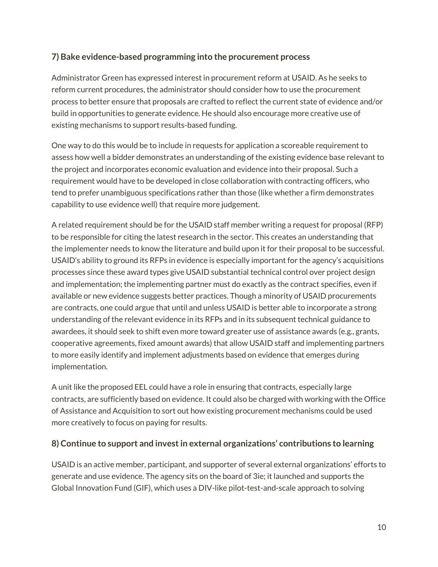#### **7) Bake evidence-based programming into the procurement process**

Administrator Green has expressed interest in procurement reform at USAID. As he seeks to reform current procedures, the administrator should consider how to use the procurement process to better ensure that proposals are crafted to reflect the current state of evidence and/or build in opportunities to generate evidence. He should also encourage more creative use of existing mechanisms to support results-based funding.

One way to do this would be to include in requests for application a scoreable requirement to assess how well a bidder demonstrates an understanding of the existing evidence base relevant to the project and incorporates economic evaluation and evidence into their proposal. Such a requirement would have to be developed in close collaboration with contracting officers, who tend to prefer unambiguous specifications rather than those (like whether a firm demonstrates capability to use evidence well) that require more judgement.

A related requirement should be for the USAID staff member writing a request for proposal (RFP) to be responsible for citing the latest research in the sector. This creates an understanding that the implementer needs to know the literature and build upon it for their proposal to be successful. USAID's ability to ground its RFPs in evidence is especially important for the agency's acquisitions processes since these award types give USAID substantial technical control over project design and implementation; the implementing partner must do exactly as the contract specifies, even if available or new evidence suggests better practices. Though a minority of USAID procurements are contracts, one could argue that until and unless USAID is better able to incorporate a strong understanding of the relevant evidence in its RFPs and in its subsequent technical guidance to awardees, it should seek to shift even more toward greater use of assistance awards (e.g., grants, cooperative agreements, fixed amount awards) that allow USAID staff and implementing partners to more easily identify and implement adjustments based on evidence that emerges during implementation.

A unit like the proposed EEL could have a role in ensuring that contracts, especially large contracts, are sufficiently based on evidence. It could also be charged with working with the Office of Assistance and Acquisition to sort out how existing procurement mechanisms could be used more creatively to focus on paying for results.

#### **8) Continue to support and invest in external organizations' contributions to learning**

USAID is an active member, participant, and supporter of several external organizations' efforts to generate and use evidence. The agency sits on the board of 3ie; it launched and supports the Global Innovation Fund (GIF), which uses a DIV-like pilot-test-and-scale approach to solving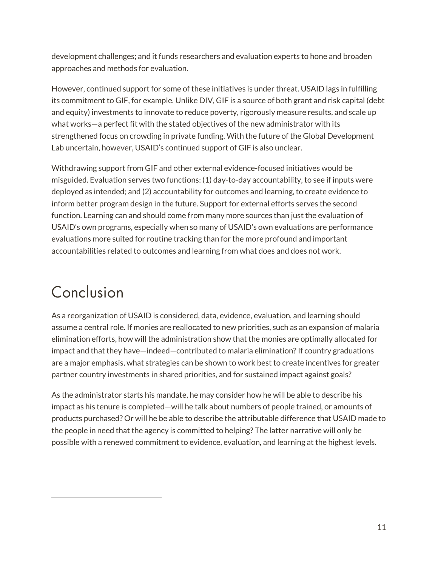development challenges; and it funds researchers and evaluation experts to hone and broaden approaches and methods for evaluation.

However, continued support for some of these initiatives is under threat. USAID lags in fulfilling its commitment to GIF, for example. Unlike DIV, GIF is a source of both grant and risk capital (debt and equity) investments to innovate to reduce poverty, rigorously measure results, and scale up what works—a perfect fit with the stated objectives of the new administrator with its strengthened focus on crowding in private funding. With the future of the Global Development Lab uncertain, however, USAID's continued support of GIF is also unclear.

Withdrawing support from GIF and other external evidence-focused initiatives would be misguided. Evaluation serves two functions: (1) day-to-day accountability, to see if inputs were deployed as intended; and (2) accountability for outcomes and learning, to create evidence to inform better program design in the future. Support for external efforts serves the second function. Learning can and should come from many more sources than just the evaluation of USAID's own programs, especially when so many of USAID's own evaluations are performance evaluations more suited for routine tracking than for the more profound and important accountabilities related to outcomes and learning from what does and does not work.

### Conclusion

As a reorganization of USAID is considered, data, evidence, evaluation, and learning should assume a central role. If monies are reallocated to new priorities, such as an expansion of malaria elimination efforts, how will the administration show that the monies are optimally allocated for impact and that they have—indeed—contributed to malaria elimination? If country graduations are a major emphasis, what strategies can be shown to work best to create incentives for greater partner country investments in shared priorities, and for sustained impact against goals?

As the administrator starts his mandate, he may consider how he will be able to describe his impact as his tenure is completed—will he talk about numbers of people trained, or amounts of products purchased? Or will he be able to describe the attributable difference that USAID made to the people in need that the agency is committed to helping? The latter narrative will only be possible with a renewed commitment to evidence, evaluation, and learning at the highest levels.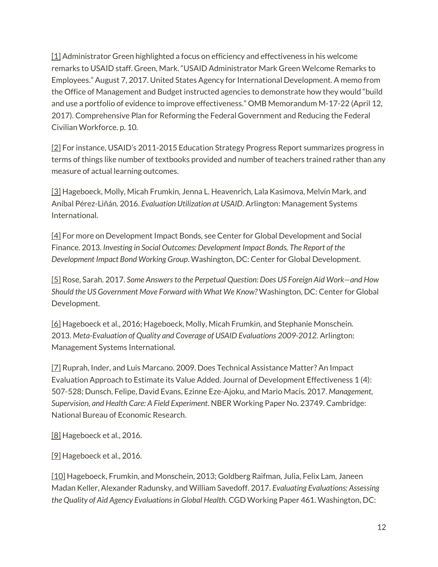[\[1\]](javascript:void(0);) Administrator Green highlighted a focus on efficiency and effectiveness in his welcome remarks to USAID staff. Green, Mark. "USAID Administrator Mark Green Welcome Remarks to Employees." August 7, 2017. United States Agency for International Development. A memo from the Office of Management and Budget instructed agencies to demonstrate how they would "build and use a portfolio of evidence to improve effectiveness." OMB Memorandum M-17-22 (April 12, 2017). Comprehensive Plan for Reforming the Federal Government and Reducing the Federal Civilian Workforce. p. 10.

[\[2\]](javascript:void(0);) For instance, USAID's 2011-2015 Education Strategy Progress Report summarizes progress in terms of things like number of textbooks provided and number of teachers trained rather than any measure of actual learning outcomes.

[\[3\]](javascript:void(0);) Hageboeck, Molly, Micah Frumkin, Jenna L. Heavenrich, Lala Kasimova, Melvin Mark, and Aníbal Pérez-Liñán. 2016. *Evaluation Utilization at USAID*. Arlington: Management Systems International.

[\[4\]](javascript:void(0);) For more on Development Impact Bonds, see Center for Global Development and Social Finance. 2013. *Investing in Social Outcomes: Development Impact Bonds, The Report of the Development Impact Bond Working Group*. Washington, DC: Center for Global Development.

[\[5\]](javascript:void(0);) Rose, Sarah. 2017. *Some Answers to the Perpetual Question: Does US Foreign Aid Work—and How Should the US Government Move Forward with What We Know?* Washington, DC: Center for Global Development.

[\[6\]](javascript:void(0);) Hageboeck et al., 2016; Hageboeck, Molly, Micah Frumkin, and Stephanie Monschein. 2013. *Meta-Evaluation of Quality and Coverage of USAID Evaluations 2009-2012.* Arlington: Management Systems International.

[\[7\]](javascript:void(0);) Ruprah, Inder, and Luis Marcano. 2009. Does Technical Assistance Matter? An Impact Evaluation Approach to Estimate its Value Added. Journal of Development Effectiveness 1 (4): 507-528; Dunsch, Felipe, David Evans, Ezinne Eze-Ajoku, and Mario Macis. 2017. *Management, Supervision, and Health Care: A Field Experiment*. NBER Working Paper No. 23749. Cambridge: National Bureau of Economic Research.

[\[8\]](javascript:void(0);) Hageboeck et al., 2016.

[\[9\]](javascript:void(0);) Hageboeck et al., 2016.

[\[10\]](javascript:void(0);) Hageboeck, Frumkin, and Monschein, 2013; Goldberg Raifman, Julia, Felix Lam, Janeen Madan Keller, Alexander Radunsky, and William Savedoff. 2017. *Evaluating Evaluations: Assessing the Quality of Aid Agency Evaluations in Global Health.* CGD Working Paper 461. Washington, DC: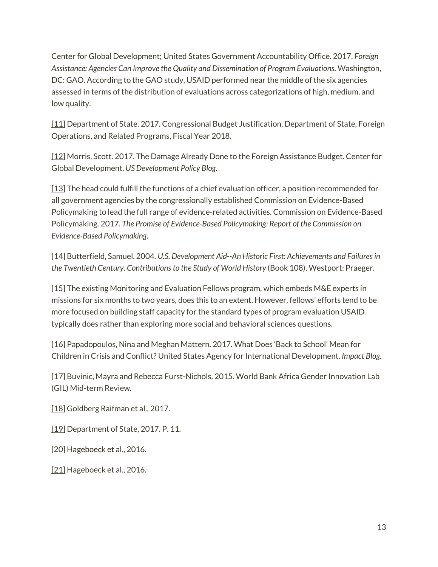Center for Global Development; United States Government Accountability Office. 2017. *Foreign Assistance: Agencies Can Improve the Quality and Dissemination of Program Evaluations*. Washington, DC: GAO. According to the GAO study, USAID performed near the middle of the six agencies assessed in terms of the distribution of evaluations across categorizations of high, medium, and low quality.

[\[11\]](javascript:void(0);) Department of State. 2017. Congressional Budget Justification. Department of State, Foreign Operations, and Related Programs, Fiscal Year 2018.

[\[12\]](javascript:void(0);) Morris, Scott. 2017. The Damage Already Done to the Foreign Assistance Budget. Center for Global Development. *US Development Policy Blog*.

[\[13\]](javascript:void(0);) The head could fulfill the functions of a chief evaluation officer, a position recommended for all government agencies by the congressionally established Commission on Evidence-Based Policymaking to lead the full range of evidence-related activities. Commission on Evidence-Based Policymaking. 2017. *The Promise of Evidence-Based Policymaking: Report of the Commission on Evidence-Based Policymaking*.

[\[14\]](javascript:void(0);) Butterfield, Samuel. 2004. *U.S. Development Aid--An Historic First: Achievements and Failures in the Twentieth Century. Contributions to the Study of World History* (Book 108). Westport: Praeger.

[\[15\]](javascript:void(0);) The existing Monitoring and Evaluation Fellows program, which embeds M&E experts in missions for six months to two years, does this to an extent. However, fellows' efforts tend to be more focused on building staff capacity for the standard types of program evaluation USAID typically does rather than exploring more social and behavioral sciences questions.

[\[16\]](javascript:void(0);) Papadopoulos, Nina and Meghan Mattern. 2017. What Does 'Back to School' Mean for Children in Crisis and Conflict? United States Agency for International Development. *Impact Blog*.

[\[17\]](javascript:void(0);) Buvinic, Mayra and Rebecca Furst-Nichols. 2015. World Bank Africa Gender Innovation Lab (GIL) Mid-term Review.

[\[18\]](javascript:void(0);) Goldberg Raifman et al., 2017.

[\[19\]](javascript:void(0);) Department of State, 2017. P. 11.

[\[20\]](javascript:void(0);) Hageboeck et al., 2016.

[\[21\]](javascript:void(0);) Hageboeck et al., 2016.